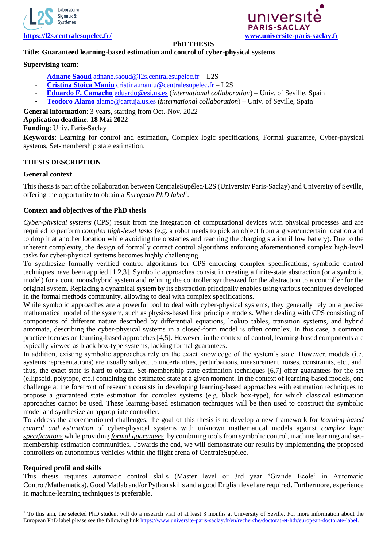



#### **PhD THESIS**

# **Title: Guaranteed learning-based estimation and control of cyber-physical systems**

# **Supervising team**:

- **[Adnane Saoud](https://sites.google.com/view/adnanesaoud/)** [adnane.saoud@l2s.centralesupelec.fr](mailto:adnane.saoud@l2s.centralesupelec.fr) L2S
- **[Cristina Stoica Maniu](https://l2s.centralesupelec.fr/u/maniu-cristina/)** [cristina.maniu@centralesupelec.fr](mailto:cristina.maniu@centralesupelec.fr) L2S
- **[Eduardo F. Camacho](https://scholar.google.com.ar/citations?user=RuDBp0UAAAAJ&hl=en)** [eduardo@esi.us.es](mailto:eduardo@esi.us.es) (*international collaboration*) Univ. of Seville, Spain
- **[Teodoro Alamo](https://scholar.google.com.ar/citations?user=W3ZDTkIAAAAJ&hl=en)** [alamo@cartuja.us.es](mailto:alamo@cartuja.us.es) (*international collaboration*) Univ. of Seville, Spain

# **General information**: 3 years, starting from Oct.-Nov. 2022

# **Application deadline**: **18 Mai 2022**

# **Funding**: Univ. Paris-Saclay

**Keywords**: Learning for control and estimation, Complex logic specifications, Formal guarantee, Cyber-physical systems, Set-membership state estimation.

# **THESIS DESCRIPTION**

#### **General context**

This thesis is part of the collaboration between CentraleSupélec/L2S (University Paris-Saclay) and University of Seville, offering the opportunity to obtain a *European PhD label*<sup>1</sup> .

# **Context and objectives of the PhD thesis**

*Cyber-physical systems* (CPS) result from the integration of computational devices with physical processes and are required to perform *complex high-level tasks* (e.g. a robot needs to pick an object from a given/uncertain location and to drop it at another location while avoiding the obstacles and reaching the charging station if low battery). Due to the inherent complexity, the design of formally correct control algorithms enforcing aforementioned complex high-level tasks for cyber-physical systems becomes highly challenging.

To synthesize formally verified control algorithms for CPS enforcing complex specifications, symbolic control techniques have been applied [1,2,3]. Symbolic approaches consist in creating a finite-state abstraction (or a symbolic model) for a continuous/hybrid system and refining the controller synthesized for the abstraction to a controller for the original system. Replacing a dynamical system by its abstraction principally enables using various techniques developed in the formal methods community, allowing to deal with complex specifications.

While symbolic approaches are a powerful tool to deal with cyber-physical systems, they generally rely on a precise mathematical model of the system, such as physics-based first principle models. When dealing with CPS consisting of components of different nature described by differential equations, lookup tables, transition systems, and hybrid automata, describing the cyber-physical systems in a closed-form model is often complex. In this case, a common practice focuses on learning-based approaches [4,5]. However, in the context of control, learning-based components are typically viewed as black box-type systems, lacking formal guarantees.

In addition, existing symbolic approaches rely on the exact knowledge of the system's state. However, models (i.e. systems representations) are usually subject to uncertainties, perturbations, measurement noises, constraints, etc., and, thus, the exact state is hard to obtain. Set-membership state estimation techniques [6,7] offer guarantees for the set (ellipsoid, polytope, etc.) containing the estimated state at a given moment. In the context of learning-based models, one challenge at the forefront of research consists in developing learning-based approaches with estimation techniques to propose a guaranteed state estimation for complex systems (e.g. black box-type), for which classical estimation approaches cannot be used. These learning-based estimation techniques will be then used to construct the symbolic model and synthesize an appropriate controller.

To address the aforementioned challenges, the goal of this thesis is to develop a new framework for *learning-based control and estimation* of cyber-physical systems with unknown mathematical models against *complex logic specifications* while providing *formal guarantees*, by combining tools from symbolic control, machine learning and setmembership estimation communities. Towards the end, we will demonstrate our results by implementing the proposed controllers on autonomous vehicles within the flight arena of CentraleSupélec.

# **Required profil and skills**

-

This thesis requires automatic control skills (Master level or 3rd year 'Grande Ecole' in Automatic Control/Mathematics). Good Matlab and/or Python skills and a good English level are required. Furthermore, experience in machine-learning techniques is preferable.

<sup>&</sup>lt;sup>1</sup> To this aim, the selected PhD student will do a research visit of at least 3 months at University of Seville. For more information about the European PhD label please see the following link [https://www.universite-paris-saclay.fr/en/recherche/doctorat-et-hdr/european-doctorate-label.](https://www.universite-paris-saclay.fr/en/recherche/doctorat-et-hdr/european-doctorate-label)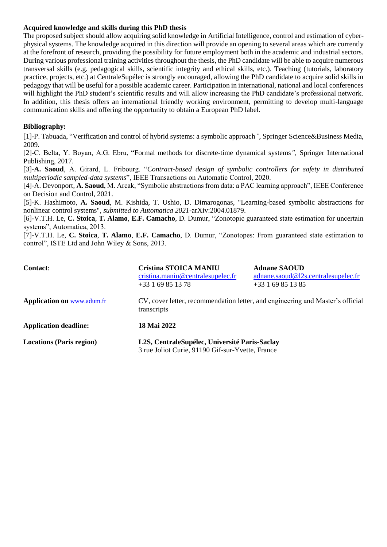#### **Acquired knowledge and skills during this PhD thesis**

The proposed subject should allow acquiring solid knowledge in Artificial Intelligence, control and estimation of cyberphysical systems. The knowledge acquired in this direction will provide an opening to several areas which are currently at the forefront of research, providing the possibility for future employment both in the academic and industrial sectors. During various professional training activities throughout the thesis, the PhD candidate will be able to acquire numerous transversal skills (e.g. pedagogical skills, scientific integrity and ethical skills, etc.). Teaching (tutorials, laboratory practice, projects, etc.) at CentraleSupélec is strongly encouraged, allowing the PhD candidate to acquire solid skills in pedagogy that will be useful for a possible academic career. Participation in international, national and local conferences will highlight the PhD student's scientific results and will allow increasing the PhD candidate's professional network. In addition, this thesis offers an international friendly working environment, permitting to develop multi-language communication skills and offering the opportunity to obtain a European PhD label.

# **Bibliography:**

[1]-P. Tabuada, "Verification and control of hybrid systems: a symbolic approach*"*, Springer Science&Business Media, 2009.

[2]-C. Belta, Y. Boyan, A.G. Ebru, "Formal methods for discrete-time dynamical systems*",* Springer International Publishing, 2017.

[3]-**A. Saoud**, A. Girard, L. Fribourg. "*Contract-based design of symbolic controllers for safety in distributed multiperiodic sampled-data systems*", IEEE Transactions on Automatic Control, 2020.

[4]-A. Devonport, **A. Saoud**, M. Arcak, "Symbolic abstractions from data: a PAC learning approach", IEEE Conference on Decision and Control, 2021.

[5]-K. Hashimoto, **A. Saoud**, M. Kishida, T. Ushio, D. Dimarogonas, "Learning-based symbolic abstractions for nonlinear control systems", *submitted to Automatica 2021*-arXiv:2004.01879.

[6]-V.T.H. Le, **C. Stoica**, **T. Alamo**, **E.F. Camacho**, D. Dumur, "Zonotopic guaranteed state estimation for uncertain systems", Automatica, 2013.

[7]-V.T.H. Le, **C. Stoica**, **T. Alamo**, **E.F. Camacho**, D. Dumur, "Zonotopes: From guaranteed state estimation to control", ISTE Ltd and John Wiley & Sons, 2013.

| <b>Contact:</b>                   | <b>Cristina STOICA MANIU</b><br>cristina.maniu@centralesupelec.fr<br>$+33169851378$               | <b>Adnane SAOUD</b><br>adnane.saoud@12s.centralesupelec.fr<br>$+33169851385$ |
|-----------------------------------|---------------------------------------------------------------------------------------------------|------------------------------------------------------------------------------|
| <b>Application on www.adum.fr</b> | CV, cover letter, recommendation letter, and engineering and Master's official<br>transcripts     |                                                                              |
| <b>Application deadline:</b>      | 18 Mai 2022                                                                                       |                                                                              |
| <b>Locations (Paris region)</b>   | L2S, CentraleSupélec, Université Paris-Saclay<br>3 rue Joliot Curie, 91190 Gif-sur-Yvette, France |                                                                              |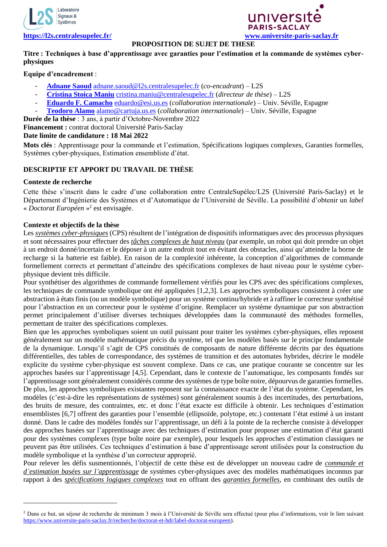



## **PROPOSITION DE SUJET DE THESE**

## **Titre : Techniques à base d'apprentissage avec garanties pour l'estimation et la commande de systèmes cyberphysiques**

## **Equipe d'encadrement** :

- **[Adnane Saoud](https://sites.google.com/view/adnanesaoud/)** [adnane.saoud@l2s.centralesupelec.fr](mailto:adnane.saoud@l2s.centralesupelec.fr) (*co-encadrant*) L2S
- **[Cristina Stoica Maniu](https://l2s.centralesupelec.fr/u/maniu-cristina/)** [cristina.maniu@centralesupelec.fr](mailto:cristina.maniu@centralesupelec.fr) (*directeur de thèse*) L2S
- **[Eduardo F. Camacho](https://scholar.google.com.ar/citations?user=RuDBp0UAAAAJ&hl=en)** [eduardo@esi.us.es](mailto:eduardo@esi.us.es) (*collaboration internationale*) Univ. Séville, Espagne
- **[Teodoro Alamo](https://scholar.google.com.ar/citations?user=W3ZDTkIAAAAJ&hl=en)** [alamo@cartuja.us.es](mailto:alamo@cartuja.us.es) (*collaboration internationale*) Univ. Séville, Espagne

**Durée de la thèse** : 3 ans, à partir d'Octobre-Novembre 2022

**Financement :** contrat doctoral Université Paris-Saclay

#### **Date limite de candidature : 18 Mai 2022**

**Mots clés** : Apprentissage pour la commande et l'estimation, Spécifications logiques complexes, Garanties formelles, Systèmes cyber-physiques, Estimation ensembliste d'état.

# **DESCRIPTIF ET APPORT DU TRAVAIL DE THÈSE**

#### **Contexte de recherche**

-

Cette thèse s'inscrit dans le cadre d'une collaboration entre CentraleSupélec/L2S (Université Paris-Saclay) et le Département d'Ingénierie des Systèmes et d'Automatique de l'Université de Séville. La possibilité d'obtenir un *label* « *Doctorat Européen* » 2 est envisagée.

## **Contexte et objectifs de la thèse**

Les *systèmes cyber-physiques* (CPS) résultent de l'intégration de dispositifs informatiques avec des processus physiques et sont nécessaires pour effectuer des *tâches complexes de haut niveau* (par exemple, un robot qui doit prendre un objet à un endroit donné/incertain et le déposer à un autre endroit tout en évitant des obstacles, ainsi qu'atteindre la borne de recharge si la batterie est faible). En raison de la complexité inhérente, la conception d'algorithmes de commande formellement corrects et permettant d'atteindre des spécifications complexes de haut niveau pour le système cyberphysique devient très difficile.

Pour synthétiser des algorithmes de commande formellement vérifiés pour les CPS avec des spécifications complexes, les techniques de commande symbolique ont été appliquées [1,2,3]. Les approches symboliques consistent à créer une abstraction à états finis (ou un modèle symbolique) pour un système continu/hybride et à raffiner le correcteur synthétisé pour l'abstraction en un correcteur pour le système d'origine. Remplacer un système dynamique par son abstraction permet principalement d'utiliser diverses techniques développées dans la communauté des méthodes formelles, permettant de traiter des spécifications complexes.

Bien que les approches symboliques soient un outil puissant pour traiter les systèmes cyber-physiques, elles reposent généralement sur un modèle mathématique précis du système, tel que les modèles basés sur le principe fondamentale de la dynamique. Lorsqu'il s'agit de CPS constitués de composants de nature différente décrits par des équations différentielles, des tables de correspondance, des systèmes de transition et des automates hybrides, décrire le modèle explicite du système cyber-physique est souvent complexe. Dans ce cas, une pratique courante se concentre sur les approches basées sur l'apprentissage [4,5]. Cependant, dans le contexte de l'automatique, les composants fondés sur l'apprentissage sont généralement considérés comme des systèmes de type boîte noire, dépourvus de garanties formelles. De plus, les approches symboliques existantes reposent sur la connaissance exacte de l'état du système. Cependant, les modèles (c'est-à-dire les représentations de systèmes) sont généralement soumis à des incertitudes, des perturbations, des bruits de mesure, des contraintes, etc. et donc l'état exacte est difficile à obtenir. Les techniques d'estimation ensemblistes [6,7] offrent des garanties pour l'ensemble (ellipsoïde, polytope, etc.) contenant l'état estimé à un instant donné. Dans le cadre des modèles fondés sur l'apprentissage, un défi à la pointe de la recherche consiste à développer des approches basées sur l'apprentissage avec des techniques d'estimation pour proposer une estimation d'état garanti pour des systèmes complexes (type boîte noire par exemple), pour lesquels les approches d'estimation classiques ne peuvent pas être utilisées. Ces techniques d'estimation à base d'apprentissage seront utilisées pour la construction du modèle symbolique et la synthèse d'un correcteur approprié.

Pour relever les défis susmentionnés, l'objectif de cette thèse est de développer un nouveau cadre de *commande et d'estimation basées sur l'apprentissage* de systèmes cyber-physiques avec des modèles mathématiques inconnus par rapport à des *spécifications logiques complexes* tout en offrant des *garanties formelles*, en combinant des outils de

<sup>&</sup>lt;sup>2</sup> Dans ce but, un séjour de recherche de minimum 3 mois à l'Université de Séville sera effectué (pour plus d'informations, voir le lien suivant [https://www.universite-paris-saclay.fr/recherche/doctorat-et-hdr/label-doctorat-europeen\)](https://www.universite-paris-saclay.fr/recherche/doctorat-et-hdr/label-doctorat-europeen).